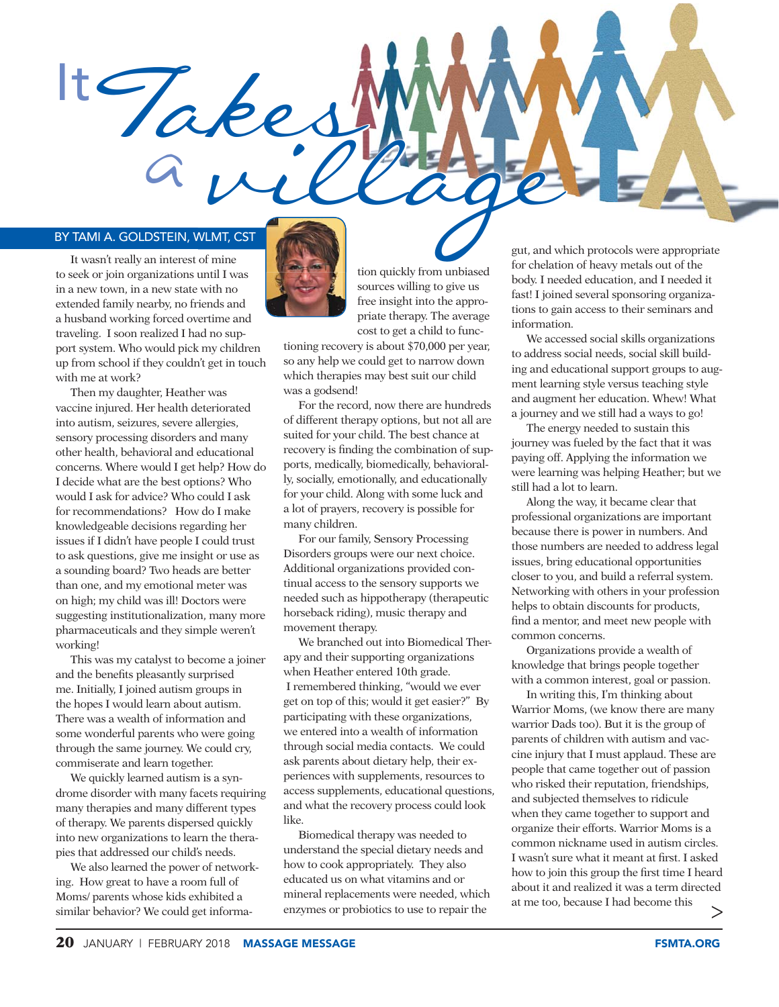

## BY TAMI A. GOLDSTEIN, WLMT, CST

It wasn't really an interest of mine to seek or join organizations until I was in a new town, in a new state with no extended family nearby, no friends and a husband working forced overtime and traveling. I soon realized I had no support system. Who would pick my children up from school if they couldn't get in touch with me at work?

Then my daughter, Heather was vaccine injured. Her health deteriorated into autism, seizures, severe allergies, sensory processing disorders and many other health, behavioral and educational concerns. Where would I get help? How do I decide what are the best options? Who would I ask for advice? Who could I ask for recommendations? How do I make knowledgeable decisions regarding her issues if I didn't have people I could trust to ask questions, give me insight or use as a sounding board? Two heads are better than one, and my emotional meter was on high; my child was ill! Doctors were suggesting institutionalization, many more pharmaceuticals and they simple weren't working!

This was my catalyst to become a joiner and the benefits pleasantly surprised me. Initially, I joined autism groups in the hopes I would learn about autism. There was a wealth of information and some wonderful parents who were going through the same journey. We could cry, commiserate and learn together.

We quickly learned autism is a syndrome disorder with many facets requiring many therapies and many different types of therapy. We parents dispersed quickly into new organizations to learn the therapies that addressed our child's needs.

We also learned the power of networking. How great to have a room full of Moms/ parents whose kids exhibited a similar behavior? We could get informa-



til I was  $\begin{array}{|c|c|c|c|c|c|} \hline \end{array}$  tion quickly from unbiased sources willing to give us free insight into the appropriate therapy. The average cost to get a child to func-

> tioning recovery is about \$70,000 per year, so any help we could get to narrow down which therapies may best suit our child was a godsend!

For the record, now there are hundreds of different therapy options, but not all are suited for your child. The best chance at recovery is finding the combination of supports, medically, biomedically, behaviorally, socially, emotionally, and educationally for your child. Along with some luck and a lot of prayers, recovery is possible for many children.

For our family, Sensory Processing Disorders groups were our next choice. Additional organizations provided continual access to the sensory supports we needed such as hippotherapy (therapeutic horseback riding), music therapy and movement therapy.

We branched out into Biomedical Therapy and their supporting organizations when Heather entered 10th grade. I remembered thinking, "would we ever get on top of this; would it get easier?" By participating with these organizations, we entered into a wealth of information through social media contacts. We could ask parents about dietary help, their experiences with supplements, resources to access supplements, educational questions, and what the recovery process could look like.

Biomedical therapy was needed to understand the special dietary needs and how to cook appropriately. They also educated us on what vitamins and or mineral replacements were needed, which enzymes or probiotics to use to repair the

gut, and which protocols were appropriate for chelation of heavy metals out of the body. I needed education, and I needed it fast! I joined several sponsoring organizations to gain access to their seminars and information.

We accessed social skills organizations to address social needs, social skill building and educational support groups to augment learning style versus teaching style and augment her education. Whew! What a journey and we still had a ways to go!

The energy needed to sustain this journey was fueled by the fact that it was paying off. Applying the information we were learning was helping Heather; but we still had a lot to learn.

Along the way, it became clear that professional organizations are important because there is power in numbers. And those numbers are needed to address legal issues, bring educational opportunities closer to you, and build a referral system. Networking with others in your profession helps to obtain discounts for products, find a mentor, and meet new people with common concerns.

Organizations provide a wealth of knowledge that brings people together with a common interest, goal or passion.

In writing this, I'm thinking about Warrior Moms, (we know there are many warrior Dads too). But it is the group of parents of children with autism and vaccine injury that I must applaud. These are people that came together out of passion who risked their reputation, friendships, and subjected themselves to ridicule when they came together to support and organize their efforts. Warrior Moms is a common nickname used in autism circles. I wasn't sure what it meant at first. I asked how to join this group the first time I heard about it and realized it was a term directed at me too, because I had become this >